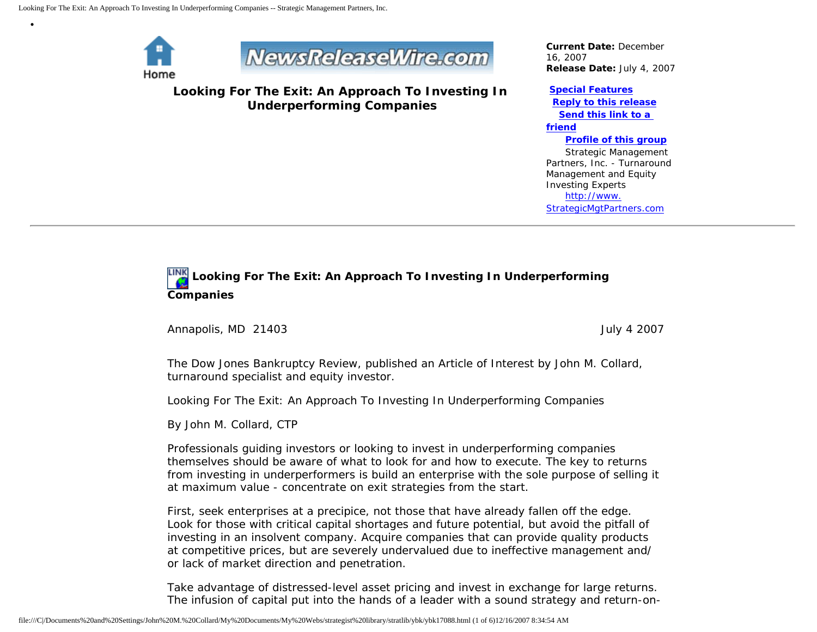

•



**Looking For The Exit: An Approach To Investing In Underperforming Companies**

*Current Date:* December 16, 2007 *Release Date:* July 4, 2007

#### **[Special Features](javascript:openlittleme()**

 **[Reply to this release](file:///C|/Documents%20and%20Settings/John%20M.%20Collard/My%20Documents/My%20Webs/strategist%20library/stratlib/ybk/default.cfm?Action=ReplyRelease&Id=17088) [Send this link to a](file:///C|/Documents%20and%20Settings/John%20M.%20Collard/My%20Documents/My%20Webs/strategist%20library/stratlib/ybk/default.cfm?Action=SendLink&SendId=17088)  [friend](file:///C|/Documents%20and%20Settings/John%20M.%20Collard/My%20Documents/My%20Webs/strategist%20library/stratlib/ybk/default.cfm?Action=SendLink&SendId=17088) [Profile of this group](file:///C|/Documents%20and%20Settings/John%20M.%20Collard/My%20Documents/My%20Webs/strategist%20library/stratlib/ybk/default.cfm?Action=Profile&ProfileId=623)** Strategic Management Partners, Inc. - Turnaround Management and Equity

Investing Experts [http://www.](http://www.strategicmgtpartners.com/) [StrategicMgtPartners.com](http://www.strategicmgtpartners.com/)

# **Looking For The Exit: An Approach To Investing In Underperforming Companies**

Annapolis, MD 21403 **July 4** 2007

The Dow Jones Bankruptcy Review, published an Article of Interest by John M. Collard, turnaround specialist and equity investor.

Looking For The Exit: An Approach To Investing In Underperforming Companies

By John M. Collard, CTP

Professionals guiding investors or looking to invest in underperforming companies themselves should be aware of what to look for and how to execute. The key to returns from investing in underperformers is build an enterprise with the sole purpose of selling it at maximum value - concentrate on exit strategies from the start.

First, seek enterprises at a precipice, not those that have already fallen off the edge. Look for those with critical capital shortages and future potential, but avoid the pitfall of investing in an insolvent company. Acquire companies that can provide quality products at competitive prices, but are severely undervalued due to ineffective management and/ or lack of market direction and penetration.

Take advantage of distressed-level asset pricing and invest in exchange for large returns. The infusion of capital put into the hands of a leader with a sound strategy and return-on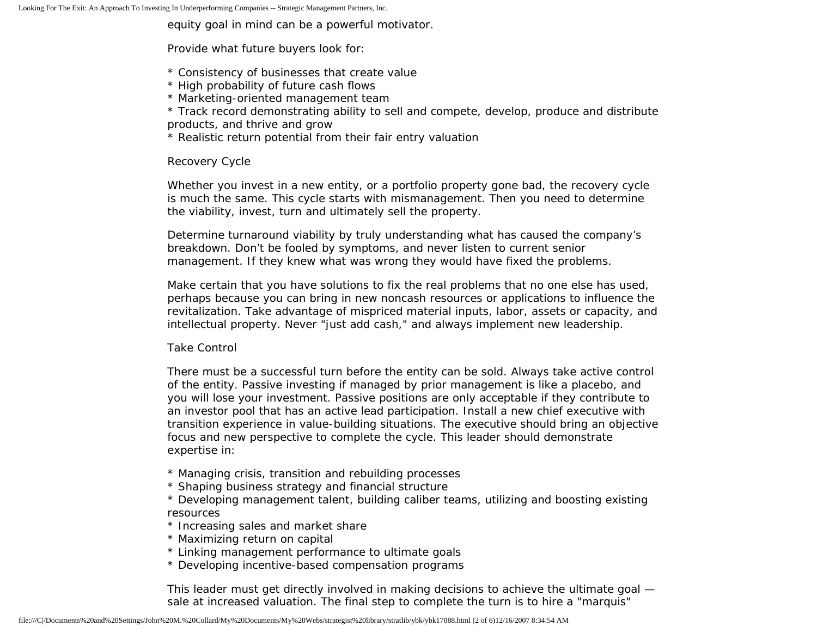equity goal in mind can be a powerful motivator.

Provide what future buyers look for:

- \* Consistency of businesses that create value
- \* High probability of future cash flows
- \* Marketing-oriented management team

\* Track record demonstrating ability to sell and compete, develop, produce and distribute products, and thrive and grow

\* Realistic return potential from their fair entry valuation

### Recovery Cycle

Whether you invest in a new entity, or a portfolio property gone bad, the recovery cycle is much the same. This cycle starts with mismanagement. Then you need to determine the viability, invest, turn and ultimately sell the property.

Determine turnaround viability by truly understanding what has caused the company's breakdown. Don't be fooled by symptoms, and never listen to current senior management. If they knew what was wrong they would have fixed the problems.

Make certain that you have solutions to fix the real problems that no one else has used, perhaps because you can bring in new noncash resources or applications to influence the revitalization. Take advantage of mispriced material inputs, labor, assets or capacity, and intellectual property. Never "just add cash," and always implement new leadership.

### Take Control

There must be a successful turn before the entity can be sold. Always take active control of the entity. Passive investing if managed by prior management is like a placebo, and you will lose your investment. Passive positions are only acceptable if they contribute to an investor pool that has an active lead participation. Install a new chief executive with transition experience in value-building situations. The executive should bring an objective focus and new perspective to complete the cycle. This leader should demonstrate expertise in:

- \* Managing crisis, transition and rebuilding processes
- \* Shaping business strategy and financial structure
- \* Developing management talent, building caliber teams, utilizing and boosting existing resources
- \* Increasing sales and market share
- \* Maximizing return on capital
- \* Linking management performance to ultimate goals
- \* Developing incentive-based compensation programs

This leader must get directly involved in making decisions to achieve the ultimate goal sale at increased valuation. The final step to complete the turn is to hire a "marquis"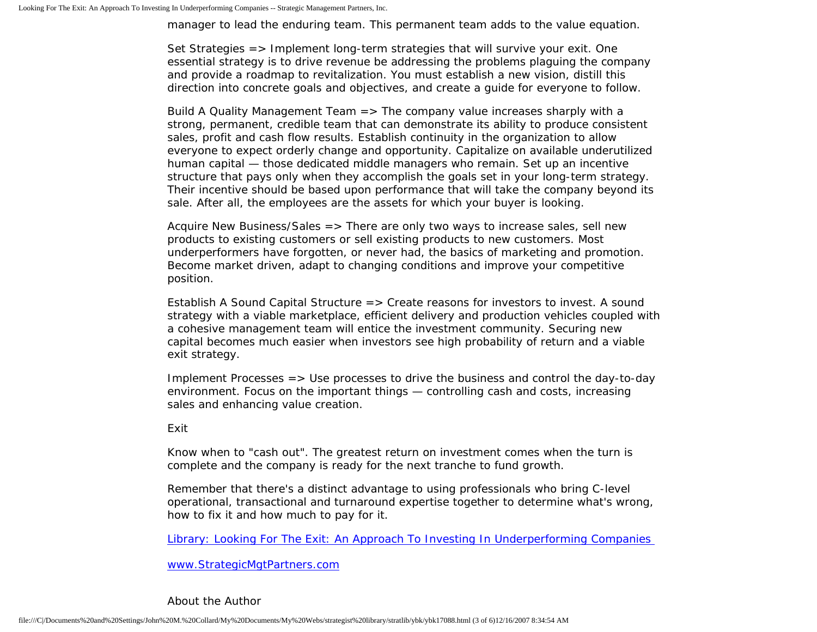manager to lead the enduring team. This permanent team adds to the value equation.

Set Strategies => Implement long-term strategies that will survive your exit. One essential strategy is to drive revenue be addressing the problems plaguing the company and provide a roadmap to revitalization. You must establish a new vision, distill this direction into concrete goals and objectives, and create a guide for everyone to follow.

Build A Quality Management Team => The company value increases sharply with a strong, permanent, credible team that can demonstrate its ability to produce consistent sales, profit and cash flow results. Establish continuity in the organization to allow everyone to expect orderly change and opportunity. Capitalize on available underutilized human capital — those dedicated middle managers who remain. Set up an incentive structure that pays only when they accomplish the goals set in your long-term strategy. Their incentive should be based upon performance that will take the company beyond its sale. After all, the employees are the assets for which your buyer is looking.

Acquire New Business/Sales => There are only two ways to increase sales, sell new products to existing customers or sell existing products to new customers. Most underperformers have forgotten, or never had, the basics of marketing and promotion. Become market driven, adapt to changing conditions and improve your competitive position.

Establish A Sound Capital Structure => Create reasons for investors to invest. A sound strategy with a viable marketplace, efficient delivery and production vehicles coupled with a cohesive management team will entice the investment community. Securing new capital becomes much easier when investors see high probability of return and a viable exit strategy.

Implement Processes => Use processes to drive the business and control the day-to-day environment. Focus on the important things — controlling cash and costs, increasing sales and enhancing value creation.

### Exit

Know when to "cash out". The greatest return on investment comes when the turn is complete and the company is ready for the next tranche to fund growth.

Remember that there's a distinct advantage to using professionals who bring C-level operational, transactional and turnaround expertise together to determine what's wrong, how to fix it and how much to pay for it.

[Library: Looking For The Exit: An Approach To Investing In Underperforming Companies](http://members.aol.com/stratlib3/djexit.html)

[www.StrategicMgtPartners.com](http://www.strategicmgtpartners.com/)

### About the Author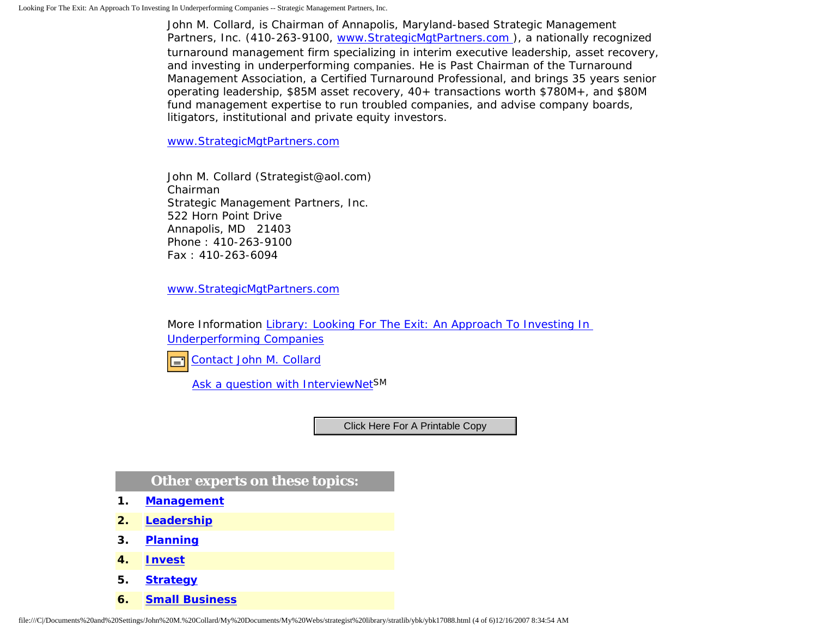John M. Collard, is Chairman of Annapolis, Maryland-based Strategic Management Partners, Inc. (410-263-9100, [www.StrategicMgtPartners.com](http://www.strategicmgtpartners.com/) ), a nationally recognized turnaround management firm specializing in interim executive leadership, asset recovery, and investing in underperforming companies. He is Past Chairman of the Turnaround Management Association, a Certified Turnaround Professional, and brings 35 years senior operating leadership, \$85M asset recovery, 40+ transactions worth \$780M+, and \$80M fund management expertise to run troubled companies, and advise company boards, litigators, institutional and private equity investors.

[www.StrategicMgtPartners.com](http://www.strategicmgtpartners.com/)

John M. Collard (Strategist@aol.com) Chairman Strategic Management Partners, Inc. 522 Horn Point Drive Annapolis, MD 21403 Phone : 410-263-9100 Fax : 410-263-6094

[www.StrategicMgtPartners.com](http://www.strategicmgtpartners.com/)

More Information [Library: Looking For The Exit: An Approach To Investing In](http://members.aol.com/stratlib3/djexit.html) [Underperforming Companies](http://members.aol.com/stratlib3/djexit.html)

[Contact John M. Collard](http://www.expertclick.com/expertClick/contact/default.cfm?Action=ContactExpert&GroupID=1016) 口

[Ask a question with InterviewNetS](http://www.expertclick.com/expertClick/contact/default.cfm?GroupID=1016)M

## **Other experts on these topics:**

- **1. [Management](http://www.expertclick.com/search/default.cfm?SearchCriteria=Management)**
- **2. [Leadership](http://www.expertclick.com/search/default.cfm?SearchCriteria=Leadership)**
- **3. [Planning](http://www.expertclick.com/search/default.cfm?SearchCriteria=Planning)**
- **4. [Invest](http://www.expertclick.com/search/default.cfm?SearchCriteria=Invest)**
- **5. [Strategy](http://www.expertclick.com/search/default.cfm?SearchCriteria=Strategy)**
- **6. [Small Business](http://www.expertclick.com/search/default.cfm?SearchCriteria=Small Business)**

File:///C|/Documents%20and%20Settings/John%20M.%20Collard/My%20Documents/My%20Webs/strategist%20library/stratlib/ybk/ybk17088.html (4 of 6)12/16/2007 8:34:54 AM Click Here For A Printable Copy<br> **2.** Leadership<br> **3.** Planni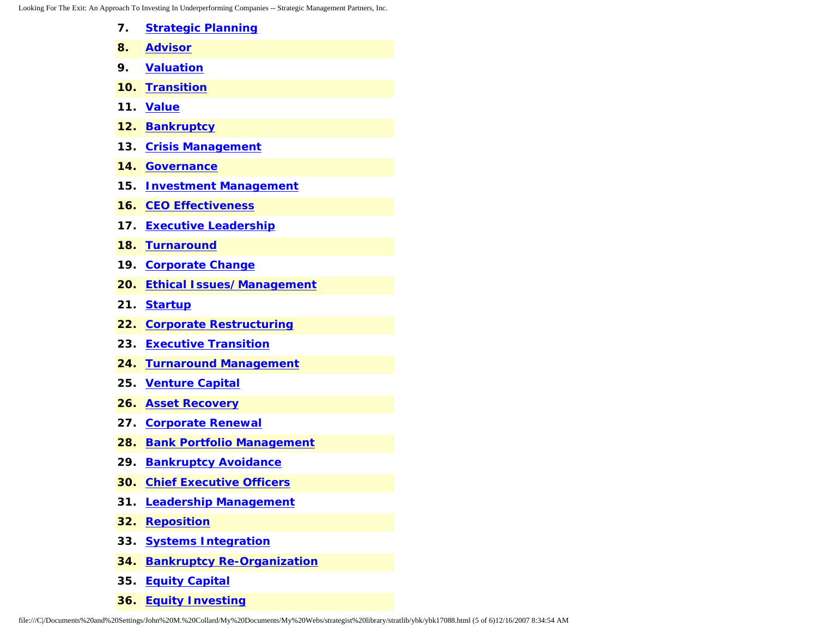Looking For The Exit: An Appr

|     | roach To Investing In Underperforming Companies -- Strategic Management Partners, Inc. |
|-----|----------------------------------------------------------------------------------------|
| 7.  | <b>Strategic Planning</b>                                                              |
| 8.  | <b>Advisor</b>                                                                         |
| 9.  | <b>Valuation</b>                                                                       |
| 10. | <b>Transition</b>                                                                      |
| 11. | <b>Value</b>                                                                           |
| 12. | <b>Bankruptcy</b>                                                                      |
| 13. | <b>Crisis Management</b>                                                               |
| 14. | <b>Governance</b>                                                                      |
| 15. | <b>Investment Management</b>                                                           |
| 16. | <b>CEO Effectiveness</b>                                                               |
| 17. | <b>Executive Leadership</b>                                                            |
| 18. | <b>Turnaround</b>                                                                      |
| 19. | <b>Corporate Change</b>                                                                |
| 20. | <b>Ethical Issues/Management</b>                                                       |
| 21. | <b>Startup</b>                                                                         |
| 22. | <b>Corporate Restructuring</b>                                                         |
| 23. | <b>Executive Transition</b>                                                            |
| 24. | <b>Turnaround Management</b>                                                           |
| 25. | <b>Venture Capital</b>                                                                 |
| 26. | <b>Asset Recovery</b>                                                                  |
| 27. | <b>Corporate Renewal</b>                                                               |
| 28. | <b>Bank Portfolio Management</b>                                                       |
| 29. | <b>Bankruptcy Avoidance</b>                                                            |
| 30. | <b>Chief Executive Officers</b>                                                        |
| 31. | <b>Leadership Management</b>                                                           |
| 32. | <b>Reposition</b>                                                                      |
| 33. | <b>Systems Integration</b>                                                             |
| 34. | <b>Bankruptcy Re-Organization</b>                                                      |

- **35. [Equity Capital](http://www.expertclick.com/search/default.cfm?SearchCriteria=Equity Capital)**
- **36. [Equity Investing](http://www.expertclick.com/search/default.cfm?SearchCriteria=Equity Investing)**